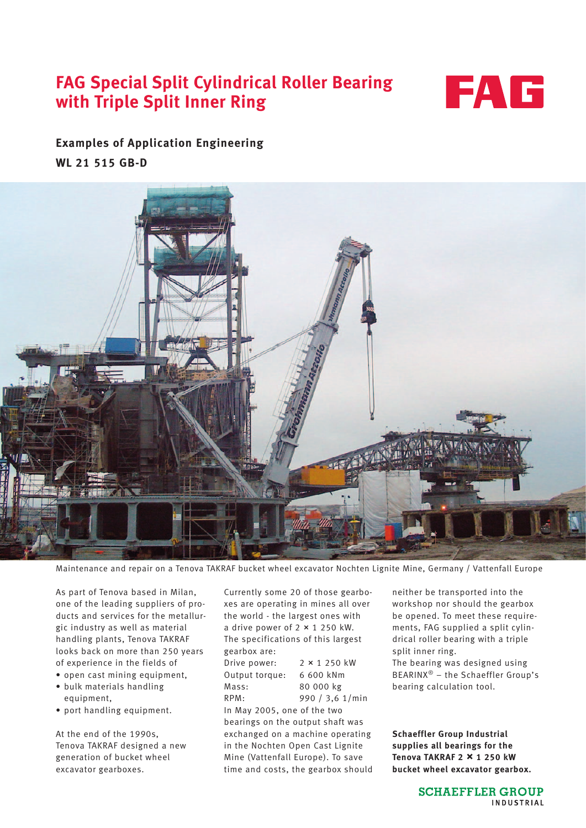## **FAG Special Split Cylindrical Roller Bearing with Triple Split Inner Ring**



## **Examples of Application Engineering**

**WL 21 515 GB-D**



Maintenance and repair on a Tenova TAKRAF bucket wheel excavator Nochten Lignite Mine, Germany / Vattenfall Europe

As part of Tenova based in Milan, one of the leading suppliers of products and services for the metallurgic industry as well as material handling plants, Tenova TAKRAF looks back on more than 250 years of experience in the fields of

- open cast mining equipment, • bulk materials handling
- equipment,
- port handling equipment.

At the end of the 1990s, Tenova TAKRAF designed a new generation of bucket wheel excavator gearboxes.

Currently some 20 of those gearboxes are operating in mines all over the world - the largest ones with a drive power of  $2 \times 1250$  kW. The specifications of this largest gearbox are: Drive power:  $2 \times 1250$  kW Output torque: 6 600 kNm Mass: 80 000 kg RPM: 990 / 3,6 1/min In May 2005, one of the two bearings on the output shaft was exchanged on a machine operating in the Nochten Open Cast Lignite

Mine (Vattenfall Europe). To save time and costs, the gearbox should neither be transported into the workshop nor should the gearbox be opened. To meet these requirements, FAG supplied a split cylindrical roller bearing with a triple split inner ring. The bearing was designed using BEARINX® – the Schaeffler Group's bearing calculation tool.

**Schaeffler Group Industrial supplies all bearings for the Tenova TAKRAF 2 ~ 1 250 kW bucket wheel excavator gearbox.**